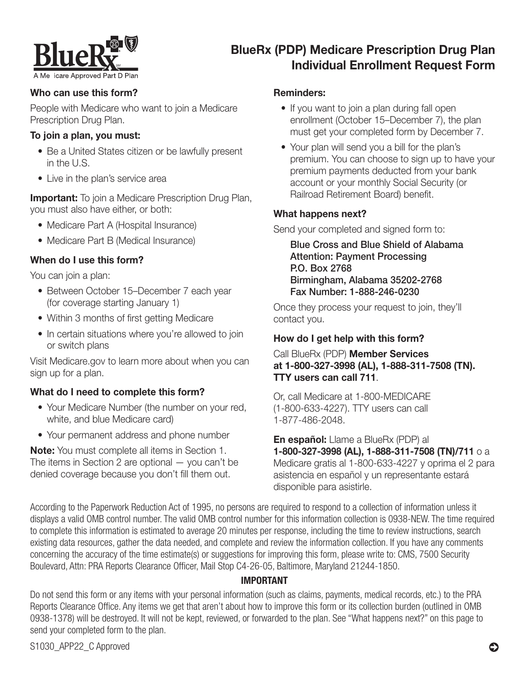

# BlueRx (PDP) Medicare Prescription Drug Plan Individual Enrollment Request Form

# Who can use this form?

People with Medicare who want to join a Medicare Prescription Drug Plan.

#### To join a plan, you must:

- Be a United States citizen or be lawfully present in the U.S.
- Live in the plan's service area

**Important:** To join a Medicare Prescription Drug Plan, you must also have either, or both:

- Medicare Part A (Hospital Insurance)
- Medicare Part B (Medical Insurance)

# When do I use this form?

You can join a plan:

- Between October 15–December 7 each year (for coverage starting January 1)
- Within 3 months of first getting Medicare
- In certain situations where you're allowed to join or switch plans

Visit [Medicare.gov](http://Medicare.gov) to learn more about when you can sign up for a plan.

# What do I need to complete this form?

- Your Medicare Number (the number on your red, white, and blue Medicare card)
- Your permanent address and phone number

Note: You must complete all items in Section 1. The items in Section 2 are optional — you can't be denied coverage because you don't fill them out.

#### Reminders:

- If you want to join a plan during fall open enrollment (October 15–December 7), the plan must get your completed form by December 7.
- Your plan will send you a bill for the plan's premium. You can choose to sign up to have your premium payments deducted from your bank account or your monthly Social Security (or Railroad Retirement Board) benefit.

### What happens next?

Send your completed and signed form to:

Blue Cross and Blue Shield of Alabama Attention: Payment Processing P.O. Box 2768 Birmingham, Alabama 35202-2768 Fax Number: 1-888-246-0230

Once they process your request to join, they'll contact you.

# How do I get help with this form?

Call BlueRx (PDP) Member Services at 1-800-327-3998 (AL), 1-888-311-7508 (TN). TTY users can call 711.

Or, call Medicare at 1-800-MEDICARE (1-800-633-4227). TTY users can call 1-877-486-2048.

En español: Llame a BlueRx (PDP) al 1-800-327-3998 (AL), 1-888-311-7508 (TN)/711 o a Medicare gratis al 1-800-633-4227 y oprima el 2 para asistencia en español y un representante estará disponible para asistirle.

According to the Paperwork Reduction Act of 1995, no persons are required to respond to a collection of information unless it displays a valid OMB control number. The valid OMB control number for this information collection is 0938-NEW. The time required to complete this information is estimated to average 20 minutes per response, including the time to review instructions, search existing data resources, gather the data needed, and complete and review the information collection. If you have any comments concerning the accuracy of the time estimate(s) or suggestions for improving this form, please write to: CMS, 7500 Security Boulevard, Attn: PRA Reports Clearance Officer, Mail Stop C4-26-05, Baltimore, Maryland 21244-1850.

# IMPORTANT

Do not send this form or any items with your personal information (such as claims, payments, medical records, etc.) to the PRA Reports Clearance Office. Any items we get that aren't about how to improve this form or its collection burden (outlined in OMB 0938-1378) will be destroyed. It will not be kept, reviewed, or forwarded to the plan. See "What happens next?" on this page to send your completed form to the plan.

S1030\_APP22\_C Approved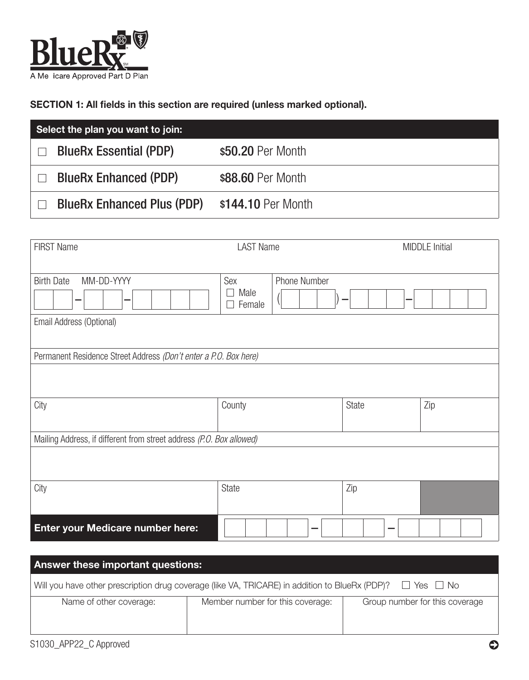

SECTION 1: All fields in this section are required (unless marked optional).

| Select the plan you want to join:               |                    |  |
|-------------------------------------------------|--------------------|--|
| <b>BlueRx Essential (PDP)</b><br>$\blacksquare$ | \$50.20 Per Month  |  |
| <b>BlueRx Enhanced (PDP)</b>                    | \$88.60 Per Month  |  |
| <b>BlueRx Enhanced Plus (PDP)</b>               | \$144.10 Per Month |  |

| <b>FIRST Name</b>                                                    | <b>LAST Name</b>      |              |       | <b>MIDDLE</b> Initial |
|----------------------------------------------------------------------|-----------------------|--------------|-------|-----------------------|
| MM-DD-YYYY<br><b>Birth Date</b><br>Email Address (Optional)          | Sex<br>Male<br>Female | Phone Number | -     |                       |
| Permanent Residence Street Address (Don't enter a P.O. Box here)     |                       |              |       |                       |
| City                                                                 | County                |              | State | Zip                   |
| Mailing Address, if different from street address (P.O. Box allowed) |                       |              |       |                       |
|                                                                      |                       |              |       |                       |
| City                                                                 | <b>State</b>          |              | Zip   |                       |
| <b>Enter your Medicare number here:</b>                              |                       |              |       |                       |

| <b>Answer these important questions:</b>                                                                               |                                  |                                |  |
|------------------------------------------------------------------------------------------------------------------------|----------------------------------|--------------------------------|--|
| Will you have other prescription drug coverage (like VA, TRICARE) in addition to BlueRx (PDP)?<br>$\Box$ Yes $\Box$ No |                                  |                                |  |
| Name of other coverage:                                                                                                | Member number for this coverage: | Group number for this coverage |  |
|                                                                                                                        |                                  |                                |  |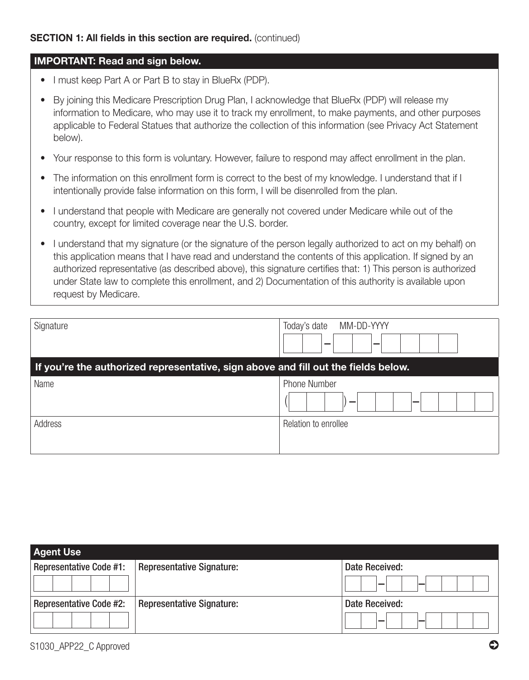#### IMPORTANT: Read and sign below.

- I must keep Part A or Part B to stay in BlueRx (PDP).
- By joining this Medicare Prescription Drug Plan, I acknowledge that BlueRx (PDP) will release my information to Medicare, who may use it to track my enrollment, to make payments, and other purposes applicable to Federal Statues that authorize the collection of this information (see Privacy Act Statement below).
- Your response to this form is voluntary. However, failure to respond may affect enrollment in the plan.
- The information on this enrollment form is correct to the best of my knowledge. I understand that if I intentionally provide false information on this form, I will be disenrolled from the plan.
- I understand that people with Medicare are generally not covered under Medicare while out of the country, except for limited coverage near the U.S. border.
- I understand that my signature (or the signature of the person legally authorized to act on my behalf) on this application means that I have read and understand the contents of this application. If signed by an authorized representative (as described above), this signature certifies that: 1) This person is authorized under State law to complete this enrollment, and 2) Documentation of this authority is available upon request by Medicare.

| Signature                                                                          | MM-DD-YYYY<br>Today's date<br>_<br>_ |  |
|------------------------------------------------------------------------------------|--------------------------------------|--|
| If you're the authorized representative, sign above and fill out the fields below. |                                      |  |
| Name                                                                               | Phone Number                         |  |
| Address                                                                            | Relation to enrollee                 |  |

| <b>Agent Use</b>               |                                  |                |
|--------------------------------|----------------------------------|----------------|
| <b>Representative Code #1:</b> | <b>Representative Signature:</b> | Date Received: |
|                                |                                  |                |
| <b>Representative Code #2:</b> | <b>Representative Signature:</b> | Date Received: |
|                                |                                  |                |